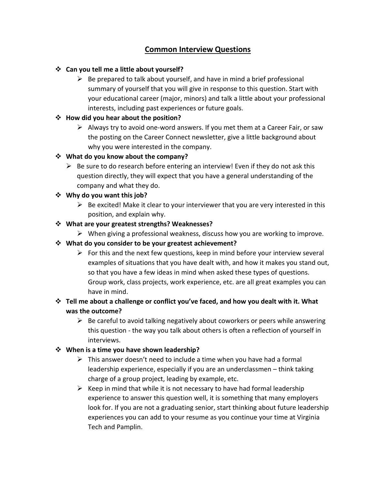# **Common Interview Questions**

### ❖ **Can you tell me a little about yourself?**

 $\triangleright$  Be prepared to talk about yourself, and have in mind a brief professional summary of yourself that you will give in response to this question. Start with your educational career (major, minors) and talk a little about your professional interests, including past experiences or future goals.

### ❖ **How did you hear about the position?**

➢ Always try to avoid one-word answers. If you met them at a Career Fair, or saw the posting on the Career Connect newsletter, give a little background about why you were interested in the company.

# ❖ **What do you know about the company?**

 $\triangleright$  Be sure to do research before entering an interview! Even if they do not ask this question directly, they will expect that you have a general understanding of the company and what they do.

# ❖ **Why do you want this job?**

 $\triangleright$  Be excited! Make it clear to your interviewer that you are very interested in this position, and explain why.

# ❖ **What are your greatest strengths? Weaknesses?**

 $\triangleright$  When giving a professional weakness, discuss how you are working to improve.

### ❖ **What do you consider to be your greatest achievement?**

 $\triangleright$  For this and the next few questions, keep in mind before your interview several examples of situations that you have dealt with, and how it makes you stand out, so that you have a few ideas in mind when asked these types of questions. Group work, class projects, work experience, etc. are all great examples you can have in mind.

# ❖ **Tell me about a challenge or conflict you've faced, and how you dealt with it. What was the outcome?**

 $\triangleright$  Be careful to avoid talking negatively about coworkers or peers while answering this question - the way you talk about others is often a reflection of yourself in interviews.

### ❖ **When is a time you have shown leadership?**

- $\triangleright$  This answer doesn't need to include a time when you have had a formal leadership experience, especially if you are an underclassmen – think taking charge of a group project, leading by example, etc.
- $\triangleright$  Keep in mind that while it is not necessary to have had formal leadership experience to answer this question well, it is something that many employers look for. If you are not a graduating senior, start thinking about future leadership experiences you can add to your resume as you continue your time at Virginia Tech and Pamplin.